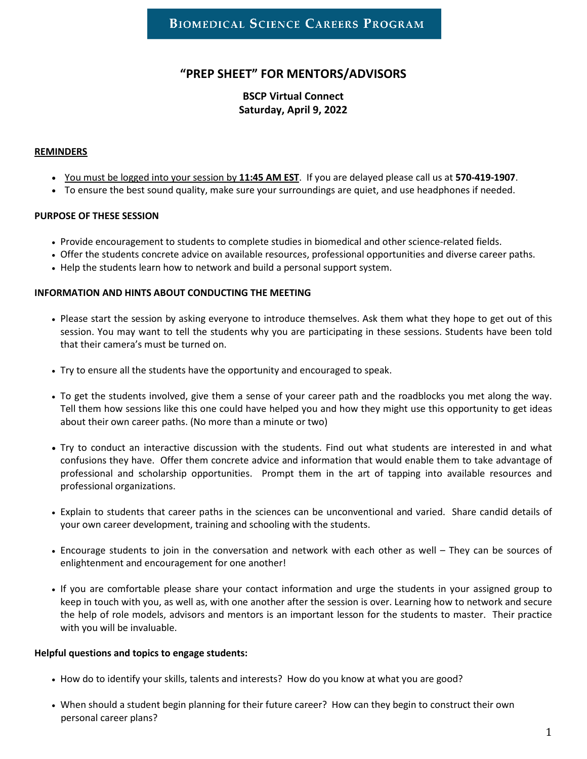# **"PREP SHEET" FOR MENTORS/ADVISORS**

## **BSCP Virtual Connect Saturday, April 9, 2022**

#### **REMINDERS**

- You must be logged into your session by **11:45 AM EST**. If you are delayed please call us at **570-419-1907**.
- To ensure the best sound quality, make sure your surroundings are quiet, and use headphones if needed.

### **PURPOSE OF THESE SESSION**

- Provide encouragement to students to complete studies in biomedical and other science-related fields.
- Offer the students concrete advice on available resources, professional opportunities and diverse career paths.
- Help the students learn how to network and build a personal support system.

#### **INFORMATION AND HINTS ABOUT CONDUCTING THE MEETING**

- Please start the session by asking everyone to introduce themselves. Ask them what they hope to get out of this session. You may want to tell the students why you are participating in these sessions. Students have been told that their camera's must be turned on.
- Try to ensure all the students have the opportunity and encouraged to speak.
- To get the students involved, give them a sense of your career path and the roadblocks you met along the way. Tell them how sessions like this one could have helped you and how they might use this opportunity to get ideas about their own career paths. (No more than a minute or two)
- Try to conduct an interactive discussion with the students. Find out what students are interested in and what confusions they have. Offer them concrete advice and information that would enable them to take advantage of professional and scholarship opportunities. Prompt them in the art of tapping into available resources and professional organizations.
- Explain to students that career paths in the sciences can be unconventional and varied. Share candid details of your own career development, training and schooling with the students.
- Encourage students to join in the conversation and network with each other as well They can be sources of enlightenment and encouragement for one another!
- If you are comfortable please share your contact information and urge the students in your assigned group to keep in touch with you, as well as, with one another after the session is over. Learning how to network and secure the help of role models, advisors and mentors is an important lesson for the students to master. Their practice with you will be invaluable.

#### **Helpful questions and topics to engage students:**

- How do to identify your skills, talents and interests? How do you know at what you are good?
- When should a student begin planning for their future career? How can they begin to construct their own personal career plans?